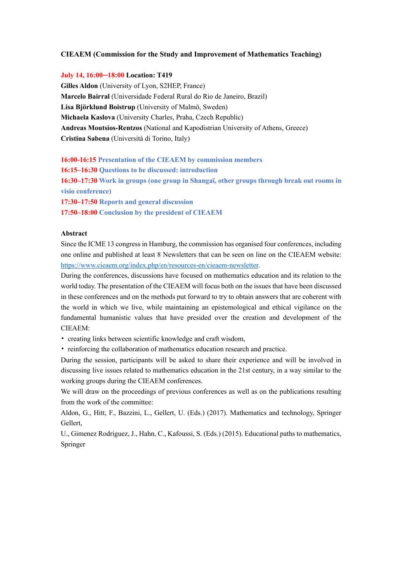#### **CIEAEM (Commission for the Study and Improvement of Mathematics Teaching)**

#### **July 14, 16:00─18:00 Location: T419**

**Gilles Aldon** (University of Lyon, S2HEP, France) **Marcelo Bairral** (Universidade Federal Rural do Rio de Janeiro, Brazil) **Lisa Björklund Boistrup** (University of Malmö, Sweden) **Michaela Kaslova** (University Charles, Praha, Czech Republic) **Andreas Moutsios-Rentzos** (National and Kapodistrian University of Athens, Greece) **Cristina Sabena** (Università di Torino, Italy)

#### **16:00-16:15 Presentation of the CIEAEM by commission members**

**16:15–16:30 Questions to be discussed: introduction**

**16:30–17:30 Work in groups (one group in Shangaï, other groups through break out rooms in visio conference)**

**17:30–17:50 Reports and general discussion**

**17:50–18:00 Conclusion by the president of CIEAEM**

#### **Abstract**

Since the ICME 13 congress in Hamburg, the commission has organised four conferences, including one online and published at least 8 Newsletters that can be seen on line on the CIEAEM website: https://www.cieaem.org/index.php/en/resources-en/cieaem-newsletter.

During the conferences, discussions have focused on mathematics education and its relation to the world today. The presentation of the CIEAEM will focus both on the issues that have been discussed in these conferences and on the methods put forward to try to obtain answers that are coherent with the world in which we live, while maintaining an epistemological and ethical vigilance on the fundamental humanistic values that have presided over the creation and development of the CIEAEM:

- creating links between scientific knowledge and craft wisdom,
- reinforcing the collaboration of mathematics education research and practice.

During the session, participants will be asked to share their experience and will be involved in discussing live issues related to mathematics education in the 21st century, in a way similar to the working groups during the CIEAEM conferences.

We will draw on the proceedings of previous conferences as well as on the publications resulting from the work of the committee:

Aldon, G., Hitt, F., Bazzini, L., Gellert, U. (Eds.) (2017). Mathematics and technology, Springer Gellert,

U., Gimenez Rodriguez, J., Hahn, C., Kafoussi, S. (Eds.) (2015). Educational paths to mathematics, Springer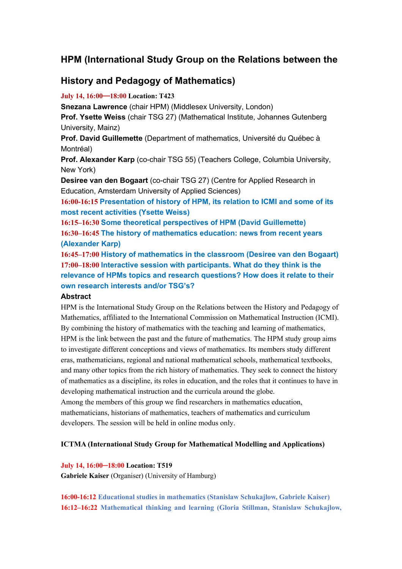# **HPM (International Study Group on the Relations between the**

## **History and Pedagogy of Mathematics)**

## **July 14, 16:00**─**18:00 Location: T423**

**Snezana Lawrence** (chair HPM) (Middlesex University, London)

**Prof. Ysette Weiss** (chair TSG 27) (Mathematical Institute, Johannes Gutenberg University, Mainz)

**Prof. David Guillemette** (Department of mathematics, Université du Québec à Montréal)

**Prof. Alexander Karp** (co-chair TSG 55) (Teachers College, Columbia University, New York)

**Desiree van den Bogaart** (co-chair TSG 27) (Centre for Applied Research in Education, Amsterdam University of Applied Sciences)

**16:00-16:15 Presentation of history of HPM, its relation to ICMI and some of its most recent activities (Ysette Weiss)**

**16:15–16:30 Some theoretical perspectives of HPM (David Guillemette) 16:30–16:45 The history of mathematics education: news from recent years (Alexander Karp)**

**16:45–17:00 History of mathematics in the classroom (Desiree van den Bogaart) 17:00–18:00 Interactive session with participants. What do they think is the relevance of HPMs topics and research questions? How does it relate to their own research interests and/or TSG's?**

## **Abstract**

HPM is the International Study Group on the Relations between the History and Pedagogy of Mathematics, affiliated to the International Commission on Mathematical Instruction (ICMI). By combining the history of mathematics with the teaching and learning of mathematics, HPM is the link between the past and the future of mathematics. The HPM study group aims to investigate different conceptions and views of mathematics. Its members study different eras, mathematicians, regional and national mathematical schools, mathematical textbooks, and many other topics from the rich history of mathematics. They seek to connect the history of mathematics as a discipline, its roles in education, and the roles that it continues to have in developing mathematical instruction and the curricula around the globe. Among the members of this group we find researchers in mathematics education,

mathematicians, historians of mathematics, teachers of mathematics and curriculum developers. The session will be held in online modus only.

## **ICTMA (International Study Group for Mathematical Modelling and Applications)**

## **July 14, 16:00─18:00 Location: T519**

**Gabriele Kaiser** (Organiser) (University of Hamburg)

**16:00-16:12 Educational studies in mathematics (Stanislaw Schukajlow, Gabriele Kaiser) 16:12–16:22 Mathematical thinking and learning (Gloria Stillman, Stanislaw Schukajlow,**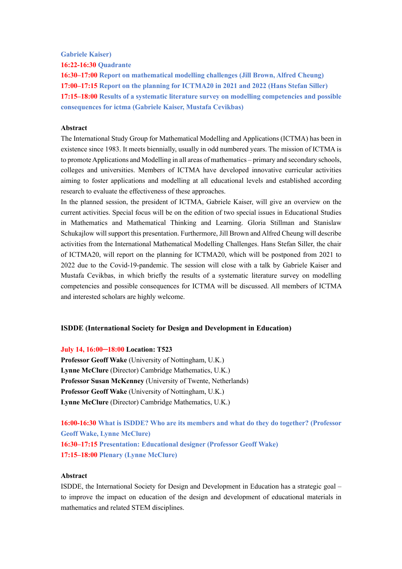**Gabriele Kaiser)**

**16:22-16:30 Quadrante**

**16:30–17:00 Report on mathematical modelling challenges (Jill Brown, Alfred Cheung) 17:00–17:15 Report on the planning for ICTMA20 in 2021 and 2022 (Hans Stefan Siller) 17:15–18:00 Results of a systematic literature survey on modelling competencies and possible consequences for ictma (Gabriele Kaiser, Mustafa Cevikbas)**

#### **Abstract**

The International Study Group for Mathematical Modelling and Applications (ICTMA) has been in existence since 1983. It meets biennially, usually in odd numbered years. The mission of ICTMA is to promote Applications and Modelling in all areas of mathematics – primary and secondary schools, colleges and universities. Members of ICTMA have developed innovative curricular activities aiming to foster applications and modelling at all educational levels and established according research to evaluate the effectiveness of these approaches.

In the planned session, the president of ICTMA, Gabriele Kaiser, will give an overview on the current activities. Special focus will be on the edition of two special issues in Educational Studies in Mathematics and Mathematical Thinking and Learning. Gloria Stillman and Stanislaw Schukajlow will support this presentation. Furthermore, Jill Brown and Alfred Cheung will describe activities from the International Mathematical Modelling Challenges. Hans Stefan Siller, the chair of ICTMA20, will report on the planning for ICTMA20, which will be postponed from 2021 to 2022 due to the Covid-19-pandemic. The session will close with a talk by Gabriele Kaiser and Mustafa Cevikbas, in which briefly the results of a systematic literature survey on modelling competencies and possible consequences for ICTMA will be discussed. All members of ICTMA and interested scholars are highly welcome.

## **ISDDE (International Society for Design and Development in Education)**

#### **July 14, 16:00─18:00 Location: T523**

**Professor Geoff Wake** (University of Nottingham, U.K.) **Lynne McClure** (Director) Cambridge Mathematics, U.K.) **Professor Susan McKenney** (University of Twente, Netherlands) **Professor Geoff Wake** (University of Nottingham, U.K.) **Lynne McClure** (Director) Cambridge Mathematics, U.K.)

**16:00-16:30 What is ISDDE? Who are its members and what do they do together? (Professor Geoff Wake, Lynne McClure) 16:30–17:15 Presentation: Educational designer (Professor Geoff Wake) 17:15–18:00 Plenary (Lynne McClure)**

#### **Abstract**

ISDDE, the International Society for Design and Development in Education has a strategic goal – to improve the impact on education of the design and development of educational materials in mathematics and related STEM disciplines.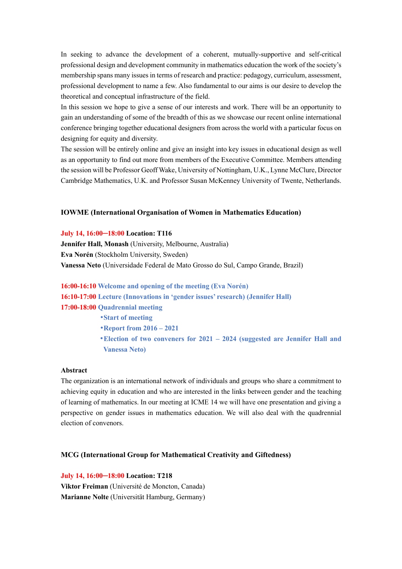In seeking to advance the development of a coherent, mutually-supportive and self-critical professional design and development community in mathematics education the work of the society's membership spans many issues in terms of research and practice: pedagogy, curriculum, assessment, professional development to name a few. Also fundamental to our aims is our desire to develop the theoretical and conceptual infrastructure of the field.

In this session we hope to give a sense of our interests and work. There will be an opportunity to gain an understanding of some of the breadth of this as we showcase our recent online international conference bringing together educational designers from across the world with a particular focus on designing for equity and diversity.

The session will be entirely online and give an insight into key issues in educational design as well as an opportunity to find out more from members of the Executive Committee. Members attending the session will be Professor Geoff Wake, University of Nottingham, U.K., Lynne McClure, Director Cambridge Mathematics, U.K. and Professor Susan McKenney University of Twente, Netherlands.

#### **IOWME (International Organisation of Women in Mathematics Education)**

#### **July 14, 16:00─18:00 Location: T116**

**Jennifer Hall, Monash** (University, Melbourne, Australia) **Eva Norén** (Stockholm University, Sweden) **Vanessa Neto** (Universidade Federal de Mato Grosso do Sul, Campo Grande, Brazil)

**16:00-16:10 Welcome and opening of the meeting (Eva Norén) 16:10-17:00 Lecture (Innovations in 'gender issues' research) (Jennifer Hall) 17:00-18:00 Quadrennial meeting** •**Start of meeting** •**Report from 2016 – 2021** •**Election of two conveners for 2021 – 2024 (suggested are Jennifer Hall and** 

**Vanessa Neto)**

#### **Abstract**

The organization is an international network of individuals and groups who share a commitment to achieving equity in education and who are interested in the links between gender and the teaching of learning of mathematics. In our meeting at ICME 14 we will have one presentation and giving a perspective on gender issues in mathematics education. We will also deal with the quadrennial election of convenors.

#### **MCG (International Group for Mathematical Creativity and Giftedness)**

**July 14, 16:00─18:00 Location: T218 Viktor Freiman** (Université de Moncton, Canada) **Marianne Nolte** (Universität Hamburg, Germany)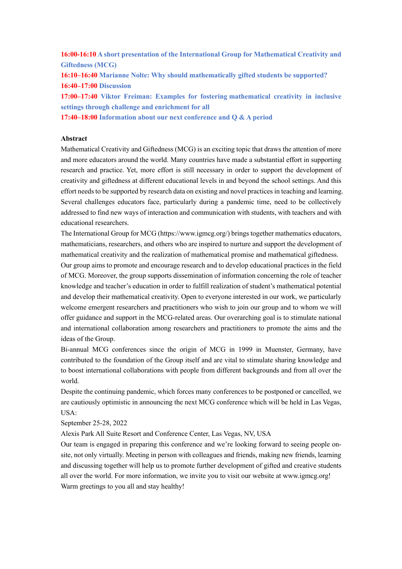**16:00-16:10 A short presentation of the International Group for Mathematical Creativity and Giftedness (MCG)**

**16:10–16:40 Marianne Nolte: Why should mathematically gifted students be supported? 16:40–17:00 Discussion**

**17:00–17:40 Viktor Freiman: Examples for fostering mathematical creativity in inclusive settings through challenge and enrichment for all**

**17:40–18:00 Information about our next conference and Q & A period**

#### **Abstract**

Mathematical Creativity and Giftedness (MCG) is an exciting topic that draws the attention of more and more educators around the world. Many countries have made a substantial effort in supporting research and practice. Yet, more effort is still necessary in order to support the development of creativity and giftedness at different educational levels in and beyond the school settings. And this effort needs to be supported by research data on existing and novel practices in teaching and learning. Several challenges educators face, particularly during a pandemic time, need to be collectively addressed to find new ways of interaction and communication with students, with teachers and with educational researchers.

The International Group for MCG (https://www.igmcg.org/) brings together mathematics educators, mathematicians, researchers, and others who are inspired to nurture and support the development of mathematical creativity and the realization of mathematical promise and mathematical giftedness.

Our group aims to promote and encourage research and to develop educational practices in the field of MCG. Moreover, the group supports dissemination of information concerning the role of teacher knowledge and teacher's education in order to fulfill realization of student's mathematical potential and develop their mathematical creativity. Open to everyone interested in our work, we particularly welcome emergent researchers and practitioners who wish to join our group and to whom we will offer guidance and support in the MCG-related areas. Our overarching goal is to stimulate national and international collaboration among researchers and practitioners to promote the aims and the ideas of the Group.

Bi-annual MCG conferences since the origin of MCG in 1999 in Muenster, Germany, have contributed to the foundation of the Group itself and are vital to stimulate sharing knowledge and to boost international collaborations with people from different backgrounds and from all over the world.

Despite the continuing pandemic, which forces many conferences to be postponed or cancelled, we are cautiously optimistic in announcing the next MCG conference which will be held in Las Vegas, USA:

September 25-28, 2022

Alexis Park All Suite Resort and Conference Center, Las Vegas, NV, USA

Our team is engaged in preparing this conference and we're looking forward to seeing people onsite, not only virtually. Meeting in person with colleagues and friends, making new friends, learning and discussing together will help us to promote further development of gifted and creative students all over the world. For more information, we invite you to visit our website at www.igmcg.org! Warm greetings to you all and stay healthy!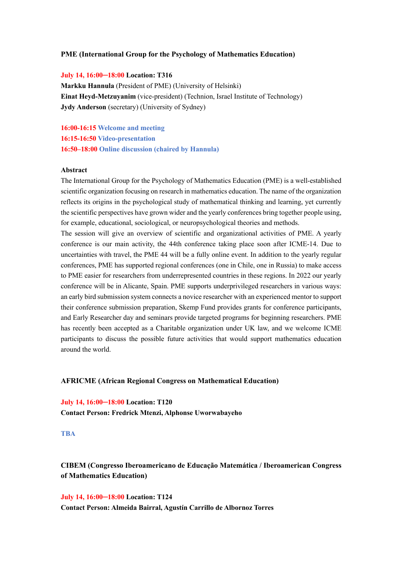#### **PME (International Group for the Psychology of Mathematics Education)**

#### **July 14, 16:00─18:00 Location: T316**

**Markku Hannula** (President of PME) (University of Helsinki) **Einat Heyd-Metzuyanim** (vice-president) (Technion, Israel Institute of Technology) **Jydy Anderson** (secretary) (University of Sydney)

**16:00-16:15 Welcome and meeting 16:15-16:50 Video-presentation 16:50–18:00 Online discussion (chaired by Hannula)**

#### **Abstract**

The International Group for the Psychology of Mathematics Education (PME) is a well-established scientific organization focusing on research in mathematics education. The name of the organization reflects its origins in the psychological study of mathematical thinking and learning, yet currently the scientific perspectives have grown wider and the yearly conferences bring together people using, for example, educational, sociological, or neuropsychological theories and methods.

The session will give an overview of scientific and organizational activities of PME. A yearly conference is our main activity, the 44th conference taking place soon after ICME-14. Due to uncertainties with travel, the PME 44 will be a fully online event. In addition to the yearly regular conferences, PME has supported regional conferences (one in Chile, one in Russia) to make access to PME easier for researchers from underrepresented countries in these regions. In 2022 our yearly conference will be in Alicante, Spain. PME supports underprivileged researchers in various ways: an early bird submission system connects a novice researcher with an experienced mentor to support their conference submission preparation, Skemp Fund provides grants for conference participants, and Early Researcher day and seminars provide targeted programs for beginning researchers. PME has recently been accepted as a Charitable organization under UK law, and we welcome ICME participants to discuss the possible future activities that would support mathematics education around the world.

#### **AFRICME (African Regional Congress on Mathematical Education)**

**July 14, 16:00─18:00 Location: T120 Contact Person: Fredrick Mtenzi, Alphonse Uworwabayeho**

#### **TBA**

**CIBEM (Congresso Iberoamericano de Educação Matemática / Iberoamerican Congress of Mathematics Education)**

**July 14, 16:00─18:00 Location: T124 Contact Person: Almeida Bairral, Agustín Carrillo de Albornoz Torres**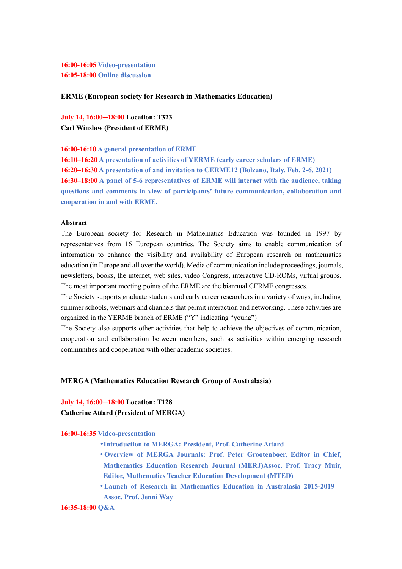**16:00-16:05 Video-presentation 16:05-18:00 Online discussion**

#### **ERME (European society for Research in Mathematics Education)**

**July 14, 16:00─18:00 Location: T323 Carl Winsløw (President of ERME)**

**16:00-16:10 A general presentation of ERME**

**16:10–16:20 A presentation of activities of YERME (early career scholars of ERME) 16:20–16:30 A presentation of and invitation to CERME12 (Bolzano, Italy, Feb. 2-6, 2021) 16:30–18:00 A panel of 5-6 representatives of ERME will interact with the audience, taking questions and comments in view of participants' future communication, collaboration and cooperation in and with ERME.**

## **Abstract**

The European society for Research in Mathematics Education was founded in 1997 by representatives from 16 European countries. The Society aims to enable communication of information to enhance the visibility and availability of European research on mathematics education (in Europe and all over the world). Media of communication include proceedings, journals, newsletters, books, the internet, web sites, video Congress, interactive CD-ROMs, virtual groups. The most important meeting points of the ERME are the biannual CERME congresses.

The Society supports graduate students and early career researchers in a variety of ways, including summer schools, webinars and channels that permit interaction and networking. These activities are organized in the YERME branch of ERME ("Y" indicating "young")

The Society also supports other activities that help to achieve the objectives of communication, cooperation and collaboration between members, such as activities within emerging research communities and cooperation with other academic societies.

## **MERGA (Mathematics Education Research Group of Australasia)**

# **July 14, 16:00─18:00 Location: T128**

## **Catherine Attard (President of MERGA)**

#### **16:00-16:35 Video-presentation**

- •**Introduction to MERGA: President, Prof. Catherine Attard**
- •**Overview of MERGA Journals: Prof. Peter Grootenboer, Editor in Chief, Mathematics Education Research Journal (MERJ)Assoc. Prof. Tracy Muir, Editor, Mathematics Teacher Education Development (MTED)**
- •**Launch of Research in Mathematics Education in Australasia 2015-2019 Assoc. Prof. Jenni Way**

```
16:35-18:00 Q&A
```